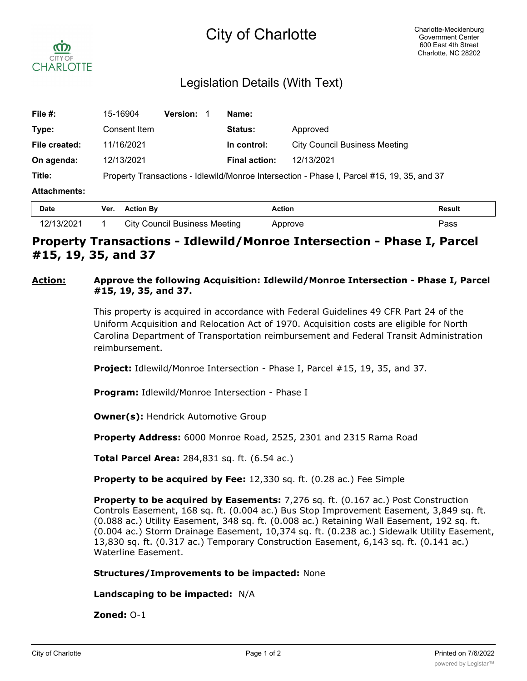# City of Charlotte



## Legislation Details (With Text)

| File #:             | 15-16904                                                                                   | <b>Version:</b> | Name:                |                                      |        |  |  |
|---------------------|--------------------------------------------------------------------------------------------|-----------------|----------------------|--------------------------------------|--------|--|--|
| Type:               | Consent Item                                                                               |                 | <b>Status:</b>       | Approved                             |        |  |  |
| File created:       | 11/16/2021                                                                                 |                 | In control:          | <b>City Council Business Meeting</b> |        |  |  |
| On agenda:          | 12/13/2021                                                                                 |                 | <b>Final action:</b> | 12/13/2021                           |        |  |  |
| Title:              | Property Transactions - Idlewild/Monroe Intersection - Phase I, Parcel #15, 19, 35, and 37 |                 |                      |                                      |        |  |  |
| <b>Attachments:</b> |                                                                                            |                 |                      |                                      |        |  |  |
| <b>Date</b>         | Ver. Action By                                                                             |                 | <b>Action</b>        |                                      | Result |  |  |

| <b>Date</b> | Ver. | <b>Action By</b>                     | Action  | Result |
|-------------|------|--------------------------------------|---------|--------|
| 12/13/2021  |      | <b>City Council Business Meeting</b> | Approve | ⊵ass   |

### **Property Transactions - Idlewild/Monroe Intersection - Phase I, Parcel #15, 19, 35, and 37**

#### **Action: Approve the following Acquisition: Idlewild/Monroe Intersection - Phase I, Parcel #15, 19, 35, and 37.**

This property is acquired in accordance with Federal Guidelines 49 CFR Part 24 of the Uniform Acquisition and Relocation Act of 1970. Acquisition costs are eligible for North Carolina Department of Transportation reimbursement and Federal Transit Administration reimbursement.

**Project:** Idlewild/Monroe Intersection - Phase I, Parcel #15, 19, 35, and 37.

**Program:** Idlewild/Monroe Intersection - Phase I

**Owner(s): Hendrick Automotive Group** 

**Property Address:** 6000 Monroe Road, 2525, 2301 and 2315 Rama Road

**Total Parcel Area:** 284,831 sq. ft. (6.54 ac.)

**Property to be acquired by Fee:** 12,330 sq. ft. (0.28 ac.) Fee Simple

**Property to be acquired by Easements:** 7,276 sq. ft. (0.167 ac.) Post Construction Controls Easement, 168 sq. ft. (0.004 ac.) Bus Stop Improvement Easement, 3,849 sq. ft. (0.088 ac.) Utility Easement, 348 sq. ft. (0.008 ac.) Retaining Wall Easement, 192 sq. ft. (0.004 ac.) Storm Drainage Easement, 10,374 sq. ft. (0.238 ac.) Sidewalk Utility Easement, 13,830 sq. ft. (0.317 ac.) Temporary Construction Easement, 6,143 sq. ft. (0.141 ac.) Waterline Easement.

#### **Structures/Improvements to be impacted:** None

**Landscaping to be impacted:** N/A

**Zoned:** O-1